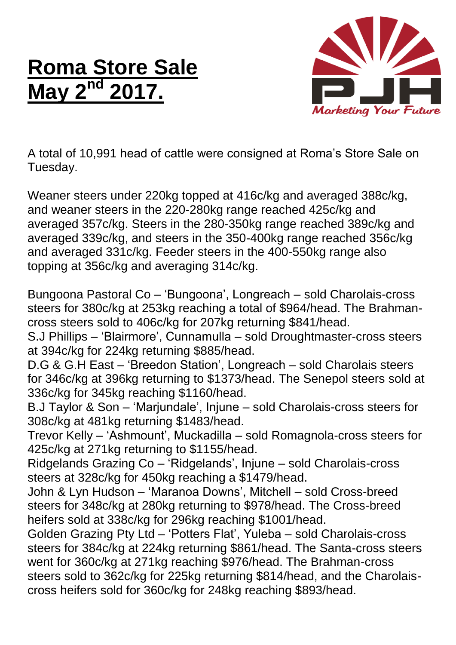## **Roma Store Sale May**



A total of 10,991 head of cattle were consigned at Roma's Store Sale on Tuesday.

Weaner steers under 220kg topped at 416c/kg and averaged 388c/kg, and weaner steers in the 220-280kg range reached 425c/kg and averaged 357c/kg. Steers in the 280-350kg range reached 389c/kg and averaged 339c/kg, and steers in the 350-400kg range reached 356c/kg and averaged 331c/kg. Feeder steers in the 400-550kg range also topping at 356c/kg and averaging 314c/kg.

Bungoona Pastoral Co – 'Bungoona', Longreach – sold Charolais-cross steers for 380c/kg at 253kg reaching a total of \$964/head. The Brahmancross steers sold to 406c/kg for 207kg returning \$841/head.

S.J Phillips – 'Blairmore', Cunnamulla – sold Droughtmaster-cross steers at 394c/kg for 224kg returning \$885/head.

D.G & G.H East – 'Breedon Station', Longreach – sold Charolais steers for 346c/kg at 396kg returning to \$1373/head. The Senepol steers sold at 336c/kg for 345kg reaching \$1160/head.

B.J Taylor & Son – 'Marjundale', Injune – sold Charolais-cross steers for 308c/kg at 481kg returning \$1483/head.

Trevor Kelly – 'Ashmount', Muckadilla – sold Romagnola-cross steers for 425c/kg at 271kg returning to \$1155/head.

Ridgelands Grazing Co – 'Ridgelands', Injune – sold Charolais-cross steers at 328c/kg for 450kg reaching a \$1479/head.

John & Lyn Hudson – 'Maranoa Downs', Mitchell – sold Cross-breed steers for 348c/kg at 280kg returning to \$978/head. The Cross-breed heifers sold at 338c/kg for 296kg reaching \$1001/head.

Golden Grazing Pty Ltd – 'Potters Flat', Yuleba – sold Charolais-cross steers for 384c/kg at 224kg returning \$861/head. The Santa-cross steers went for 360c/kg at 271kg reaching \$976/head. The Brahman-cross steers sold to 362c/kg for 225kg returning \$814/head, and the Charolaiscross heifers sold for 360c/kg for 248kg reaching \$893/head.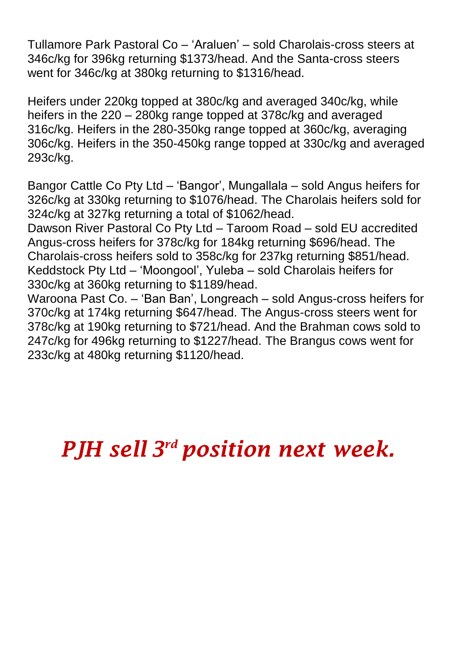Tullamore Park Pastoral Co – 'Araluen' – sold Charolais-cross steers at 346c/kg for 396kg returning \$1373/head. And the Santa-cross steers went for 346c/kg at 380kg returning to \$1316/head.

Heifers under 220kg topped at 380c/kg and averaged 340c/kg, while heifers in the 220 – 280kg range topped at 378c/kg and averaged 316c/kg. Heifers in the 280-350kg range topped at 360c/kg, averaging 306c/kg. Heifers in the 350-450kg range topped at 330c/kg and averaged 293c/kg.

Bangor Cattle Co Pty Ltd – 'Bangor', Mungallala – sold Angus heifers for 326c/kg at 330kg returning to \$1076/head. The Charolais heifers sold for 324c/kg at 327kg returning a total of \$1062/head.

Dawson River Pastoral Co Pty Ltd – Taroom Road – sold EU accredited Angus-cross heifers for 378c/kg for 184kg returning \$696/head. The Charolais-cross heifers sold to 358c/kg for 237kg returning \$851/head. Keddstock Pty Ltd – 'Moongool', Yuleba – sold Charolais heifers for 330c/kg at 360kg returning to \$1189/head.

Waroona Past Co. – 'Ban Ban', Longreach – sold Angus-cross heifers for 370c/kg at 174kg returning \$647/head. The Angus-cross steers went for 378c/kg at 190kg returning to \$721/head. And the Brahman cows sold to 247c/kg for 496kg returning to \$1227/head. The Brangus cows went for 233c/kg at 480kg returning \$1120/head.

*PJH sell 3 rd position next week.*